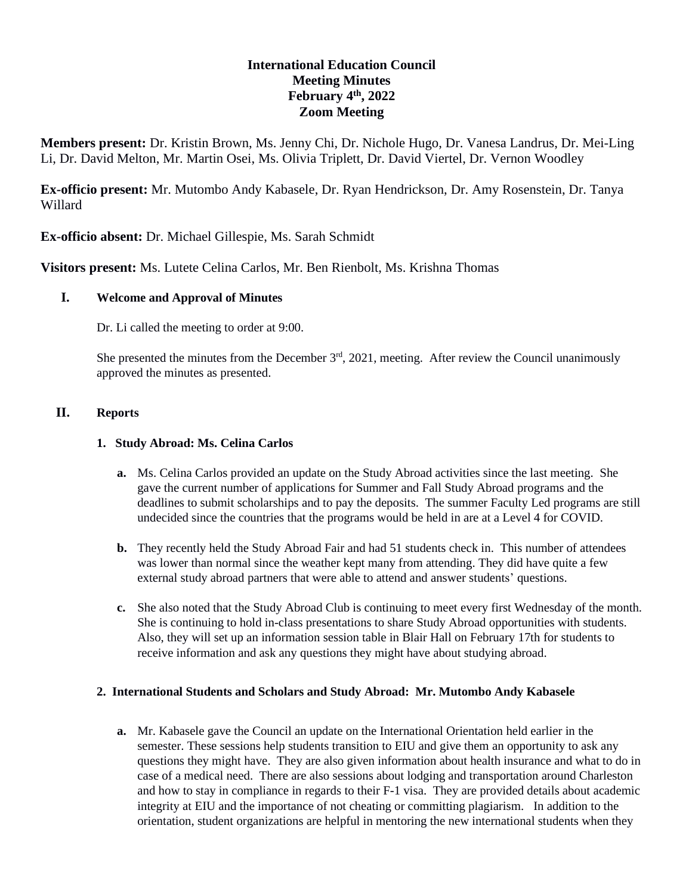# **International Education Council Meeting Minutes February 4 th , 2022 Zoom Meeting**

**Members present:** Dr. Kristin Brown, Ms. Jenny Chi, Dr. Nichole Hugo, Dr. Vanesa Landrus, Dr. Mei-Ling Li, Dr. David Melton, Mr. Martin Osei, Ms. Olivia Triplett, Dr. David Viertel, Dr. Vernon Woodley

**Ex-officio present:** Mr. Mutombo Andy Kabasele, Dr. Ryan Hendrickson, Dr. Amy Rosenstein, Dr. Tanya Willard

**Ex-officio absent:** Dr. Michael Gillespie, Ms. Sarah Schmidt

**Visitors present:** Ms. Lutete Celina Carlos, Mr. Ben Rienbolt, Ms. Krishna Thomas

# **I. Welcome and Approval of Minutes**

Dr. Li called the meeting to order at 9:00.

She presented the minutes from the December  $3<sup>rd</sup>$ , 2021, meeting. After review the Council unanimously approved the minutes as presented.

### **II. Reports**

### **1. Study Abroad: Ms. Celina Carlos**

- **a.** Ms. Celina Carlos provided an update on the Study Abroad activities since the last meeting. She gave the current number of applications for Summer and Fall Study Abroad programs and the deadlines to submit scholarships and to pay the deposits. The summer Faculty Led programs are still undecided since the countries that the programs would be held in are at a Level 4 for COVID.
- **b.** They recently held the Study Abroad Fair and had 51 students check in. This number of attendees was lower than normal since the weather kept many from attending. They did have quite a few external study abroad partners that were able to attend and answer students' questions.
- **c.** She also noted that the Study Abroad Club is continuing to meet every first Wednesday of the month. She is continuing to hold in-class presentations to share Study Abroad opportunities with students. Also, they will set up an information session table in Blair Hall on February 17th for students to receive information and ask any questions they might have about studying abroad.

#### **2. International Students and Scholars and Study Abroad: Mr. Mutombo Andy Kabasele**

**a.** Mr. Kabasele gave the Council an update on the International Orientation held earlier in the semester. These sessions help students transition to EIU and give them an opportunity to ask any questions they might have. They are also given information about health insurance and what to do in case of a medical need. There are also sessions about lodging and transportation around Charleston and how to stay in compliance in regards to their F-1 visa. They are provided details about academic integrity at EIU and the importance of not cheating or committing plagiarism. In addition to the orientation, student organizations are helpful in mentoring the new international students when they